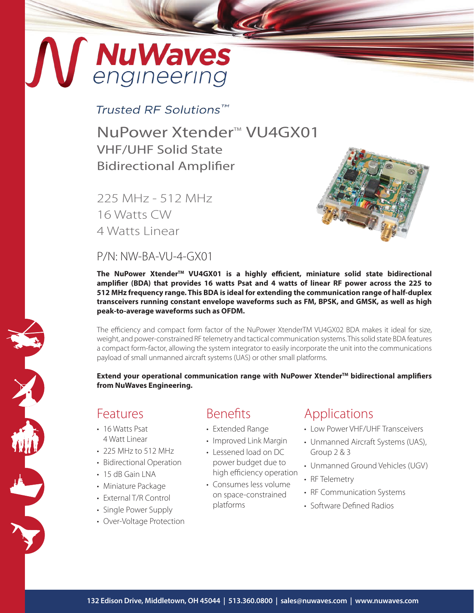# MuWaves

#### Trusted RF Solutions™

NuPower Xtender<sup>™</sup> VU4GX01 VHF/UHF Solid State Bidirectional Amplifier

225 MHz - 512 MHz 16 Watts CW 4 Watts Linear



#### $P/N$ · NW-BA-VU-4-GX01

**The NuPower XtenderTM VU4GX01 is a highly efficient, miniature solid state bidirectional amplifier (BDA) that provides 16 watts Psat and 4 watts of linear RF power across the 225 to 512 MHz frequency range. This BDA is ideal for extending the communication range of half-duplex transceivers running constant envelope waveforms such as FM, BPSK, and GMSK, as well as high peak-to-average waveforms such as OFDM.**

The efficiency and compact form factor of the NuPower XtenderTM VU4GX02 BDA makes it ideal for size, weight, and power-constrained RF telemetry and tactical communication systems. This solid state BDA features a compact form-factor, allowing the system integrator to easily incorporate the unit into the communications payload of small unmanned aircraft systems (UAS) or other small platforms.

Extend your operational communication range with NuPower Xtender<sup>™</sup> bidirectional amplifiers **from NuWaves Engineering.**

#### Features

X

- 16 Watts Psat 4 Watt Linear
- 225 MHz to 512 MHz
- Bidirectional Operation
- $\cdot$  15 dB Gain LNA
- Miniature Package
- External T/R Control
- Single Power Supply
- Over-Voltage Protection

## Benefits

- Extended Range
- Improved Link Margin
- Lessened load on DC power budget due to high efficiency operation
- Consumes less volume on space-constrained platforms

## Applications

- Low Power VHF/UHF Transceivers
- Unmanned Aircraft Systems (UAS), Group 2 & 3
- Unmanned Ground Vehicles (UGV)
- RF Telemetry
- RF Communication Systems
- Software Defined Radios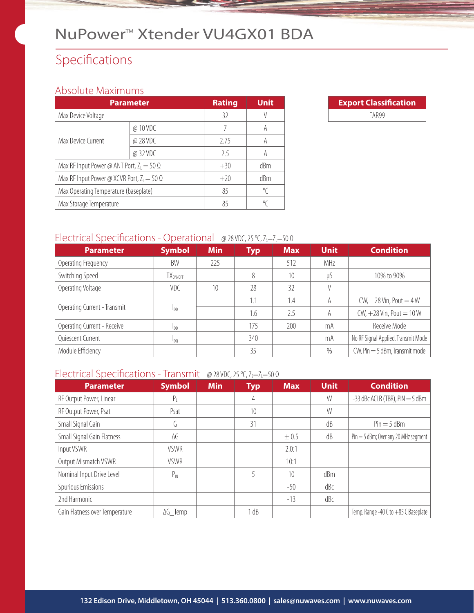## NuPower<sup>™</sup> Xtender VU4GX01 BDA

## Specifications

#### Absolute Maximums

| <b>Parameter</b>                                  | <b>Rating</b> | <b>Unit</b>     |   |
|---------------------------------------------------|---------------|-----------------|---|
| Max Device Voltage                                | 32            |                 |   |
|                                                   | @ 10 VDC      |                 |   |
| Max Device Current                                | @ 28 VDC      | 2.75            | A |
|                                                   | @32VDC        | 25              | A |
| Max RF Input Power @ ANT Port, $Z_1 = 50 \Omega$  | $+30$         | dBm             |   |
| Max RF Input Power @ XCVR Port, $Z_L = 50 \Omega$ | $+20$         | d <sub>Bm</sub> |   |
| Max Operating Temperature (baseplate)             | 85            | ℃               |   |
| Max Storage Temperature                           | 85            | °∩              |   |



#### Electrical Specifications - Operational @ 28 VDC, 25 °C, Z<sub>S</sub>=Z<sub>L</sub>=50 Ω

| <b>Parameter</b>             | <b>Symbol</b>          | <b>Min</b> | <b>Typ</b> | <b>Max</b> | <b>Unit</b> | <b>Condition</b>                    |
|------------------------------|------------------------|------------|------------|------------|-------------|-------------------------------------|
| Operating Frequency          | BW                     | 225        |            | 512        | MHz         |                                     |
| Switching Speed              | TX <sub>ON/OFF</sub>   |            | 8          | 10         | μS          | 10% to 90%                          |
| Operating Voltage            | VDC                    | 10         | 28         | 32         |             |                                     |
| Operating Current - Transmit | I <sub>DD</sub>        |            | 1.1        | 1.4        | A           | $CW, +28$ Vin, Pout = 4 W           |
|                              |                        |            | 1.6        | 2.5        | A           | CW, $+28$ Vin, Pout = $10$ W        |
| Operating Current - Receive  | <b>I</b> <sub>DD</sub> |            | 175        | 200        | mA          | Receive Mode                        |
| Quiescent Current            | 100                    |            | 340        |            | mA          | No RF Signal Applied, Transmit Mode |
| Module Efficiency            |                        |            | 35         |            | %           | $CW$ , Pin $=$ 5 dBm, Transmit mode |

#### Electrical Specifications - Transmit @ 28 VDC, 25 °C, Z<sub>S</sub>=Z<sub>L</sub>=50 Ω

| <b>Parameter</b>               | <b>Symbol</b>   | <b>Min</b> | <b>Typ</b> | <b>Max</b> | <b>Unit</b> | <b>Condition</b>                       |
|--------------------------------|-----------------|------------|------------|------------|-------------|----------------------------------------|
| RF Output Power, Linear        | $P_{\perp}$     |            | 4          |            | W           | $-33$ dBc ACLR (TBR), PIN $=$ 5 dBm    |
| RF Output Power, Psat          | Psat            |            | 10         |            | W           |                                        |
| Small Signal Gain              | G               |            | 31         |            | dB          | $Pin = 5$ dBm                          |
| Small Signal Gain Flatness     | ΔG              |            |            | $\pm 0.5$  | dB          | $Pin = 5$ dBm; Over any 20 MHz segment |
| Input VSWR                     | <b>VSWR</b>     |            |            | 2.0:1      |             |                                        |
| Output Mismatch VSWR           | <b>VSWR</b>     |            |            | 10:1       |             |                                        |
| Nominal Input Drive Level      | $P_{IN}$        |            |            | 10         | dBm         |                                        |
| Spurious Emissions             |                 |            |            | $-50$      | dBc         |                                        |
| 2nd Harmonic                   |                 |            |            | $-13$      | dBc         |                                        |
| Gain Flatness over Temperature | $\Delta G$ Temp |            | l dB       |            |             | Temp. Range -40 C to +85 C Baseplate   |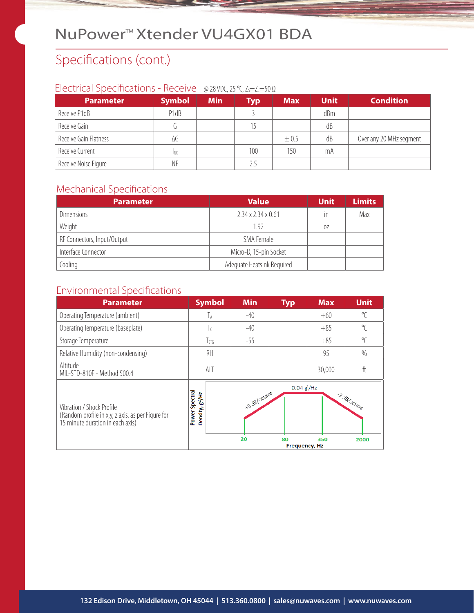## NuPower<sup>™</sup> Xtender VU4GX01 BDA

## Specifications (cont.)

#### Electrical Specifications - Receive @ 28 VDC, 25 °C, Z<sub>S</sub>=Z<sub>L</sub>=50 Ω

| <b>Parameter</b>      | <b>Symbol</b> | <b>Min</b> | <b>Typ</b> | <b>Max</b> | <b>Unit</b> | <b>Condition</b>        |
|-----------------------|---------------|------------|------------|------------|-------------|-------------------------|
| Receive P1dB          | P1dB          |            |            |            | dBm         |                         |
| Receive Gain          |               |            | 15         |            | dB          |                         |
| Receive Gain Flatness | ΔG            |            |            | $\pm 0.5$  | dB          | Over any 20 MHz segment |
| Receive Current       | <b>IRX</b>    |            | 100        | 150        | mA          |                         |
| Receive Noise Figure  | ΝF            |            | 2.5        |            |             |                         |

#### Mechanical Specifications

| <b>Parameter</b>            | <b>Value</b>                   | <b>Unit</b> | <b>Limits</b> |
|-----------------------------|--------------------------------|-------------|---------------|
| <b>Dimensions</b>           | $2.34 \times 2.34 \times 0.61$ | in          | Max           |
| Weight                      | 1.92                           | 0Z          |               |
| RF Connectors, Input/Output | SMA Female                     |             |               |
| Interface Connector         | Micro-D, 15-pin Socket         |             |               |
| Cooling                     | Adequate Heatsink Required     |             |               |

## Environmental Specifications

| <b>Parameter</b>                                                                                                   | <b>Symbol</b>                                    | <b>Min</b>         | <b>Typ</b>                                   | <b>Max</b> | <b>Unit</b>         |
|--------------------------------------------------------------------------------------------------------------------|--------------------------------------------------|--------------------|----------------------------------------------|------------|---------------------|
| Operating Temperature (ambient)                                                                                    | ĪА                                               | $-40$              |                                              | $+60$      | $\mathrm{C}$        |
| Operating Temperature (baseplate)                                                                                  | Τc                                               | $-40$              |                                              | $+85$      | $\mathrm{C}$        |
| Storage Temperature                                                                                                | $T_{STG}$                                        | $-55$              |                                              | $+85$      | $\sqrt{\ }$         |
| Relative Humidity (non-condensing)                                                                                 | RH                                               |                    |                                              | 95         | $\%$                |
| Altitude<br>MIL-STD-810F - Method 500.4                                                                            | ALT                                              |                    |                                              | 30,000     | ft                  |
| Vibration / Shock Profile<br>(Random profile in x,y, z axis, as per Figure for<br>15 minute duration in each axis) | Spectral<br>Density, g <sup>2</sup> /Hz<br>Power | +3 dB/octave<br>20 | $0.04 g^2$ /Hz<br>80<br><b>Frequency, Hz</b> | 350        | 3 dB/octave<br>2000 |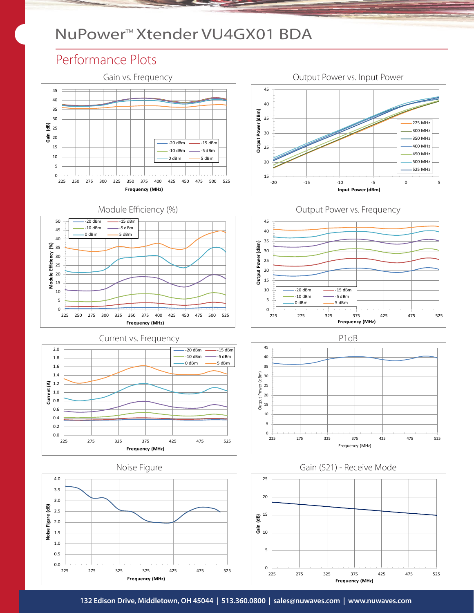## NuPower<sup>™</sup> Xtender VU4GX01 BDA

#### Performance Plots





Current vs. Frequency **P1dB** 





















**132 Edison Drive, Middletown, OH 45044 | 513.360.0800 | sales@nuwaves.com | www.nuwaves.com**